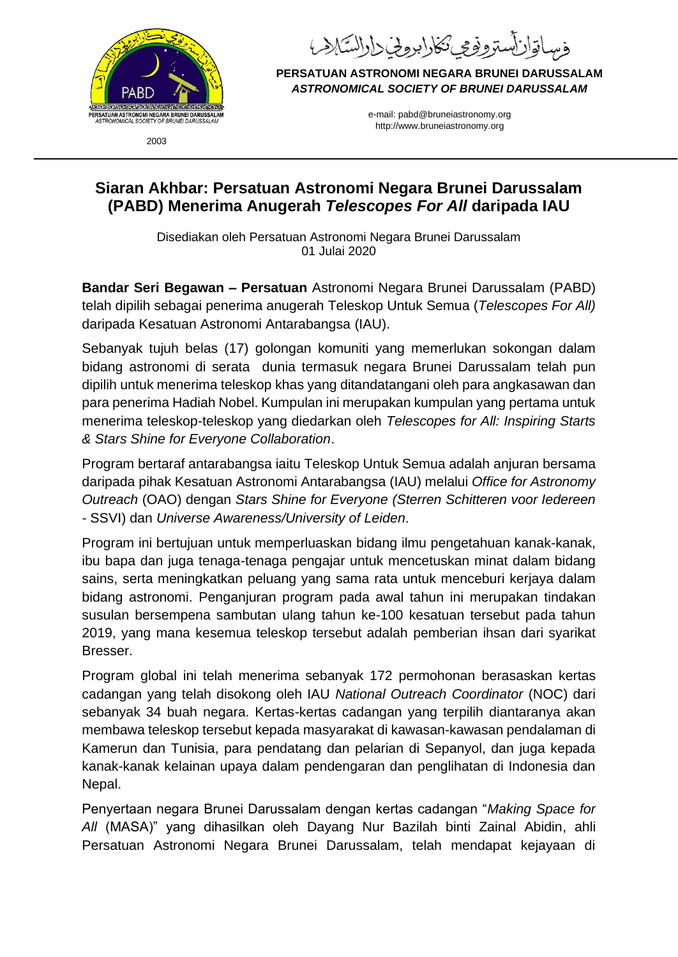

اقان ستروفى تكارابروني داراستلاب

**PERSATUAN ASTRONOMI NEGARA BRUNEI DARUSSALAM** *ASTRONOMICAL SOCIETY OF BRUNEI DARUSSALAM*

> e-mail: pabd@bruneiastronomy.org http://www.bruneiastronomy.org

2003

## **Siaran Akhbar: Persatuan Astronomi Negara Brunei Darussalam (PABD) Menerima Anugerah** *Telescopes For All* **daripada IAU**

Disediakan oleh Persatuan Astronomi Negara Brunei Darussalam 01 Julai 2020

**Bandar Seri Begawan – Persatuan** Astronomi Negara Brunei Darussalam (PABD) telah dipilih sebagai penerima anugerah Teleskop Untuk Semua (*Telescopes For All)* daripada Kesatuan Astronomi Antarabangsa (IAU).

Sebanyak tujuh belas (17) golongan komuniti yang memerlukan sokongan dalam bidang astronomi di serata dunia termasuk negara Brunei Darussalam telah pun dipilih untuk menerima teleskop khas yang ditandatangani oleh para angkasawan dan para penerima Hadiah Nobel. Kumpulan ini merupakan kumpulan yang pertama untuk menerima teleskop-teleskop yang diedarkan oleh *Telescopes for All: Inspiring Starts & Stars Shine for Everyone Collaboration*.

Program bertaraf antarabangsa iaitu Teleskop Untuk Semua adalah anjuran bersama daripada pihak Kesatuan Astronomi Antarabangsa (IAU) melalui *Office for Astronomy Outreach* (OAO) dengan *Stars Shine for Everyone (Sterren Schitteren voor Iedereen -* SSVI) dan *[Universe Awareness/](https://www.unawe.org/)University of Leiden*.

Program ini bertujuan untuk memperluaskan bidang ilmu pengetahuan kanak-kanak, ibu bapa dan juga tenaga-tenaga pengajar untuk mencetuskan minat dalam bidang sains, serta meningkatkan peluang yang sama rata untuk menceburi kerjaya dalam bidang astronomi. Penganjuran program pada awal tahun ini merupakan tindakan susulan bersempena sambutan ulang tahun ke-100 kesatuan tersebut pada tahun 2019, yang mana kesemua teleskop tersebut adalah pemberian ihsan dari syarikat Bresser.

Program global ini telah menerima sebanyak 172 permohonan berasaskan kertas cadangan yang telah disokong oleh IAU *National Outreach Coordinator* (NOC) dari sebanyak 34 buah negara. Kertas-kertas cadangan yang terpilih diantaranya akan membawa teleskop tersebut kepada masyarakat di kawasan-kawasan pendalaman di Kamerun dan Tunisia, para pendatang dan pelarian di Sepanyol, dan juga kepada kanak-kanak kelainan upaya dalam pendengaran dan penglihatan di Indonesia dan Nepal.

Penyertaan negara Brunei Darussalam dengan kertas cadangan "*Making Space for All* (MASA)" yang dihasilkan oleh Dayang Nur Bazilah binti Zainal Abidin, ahli Persatuan Astronomi Negara Brunei Darussalam, telah mendapat kejayaan di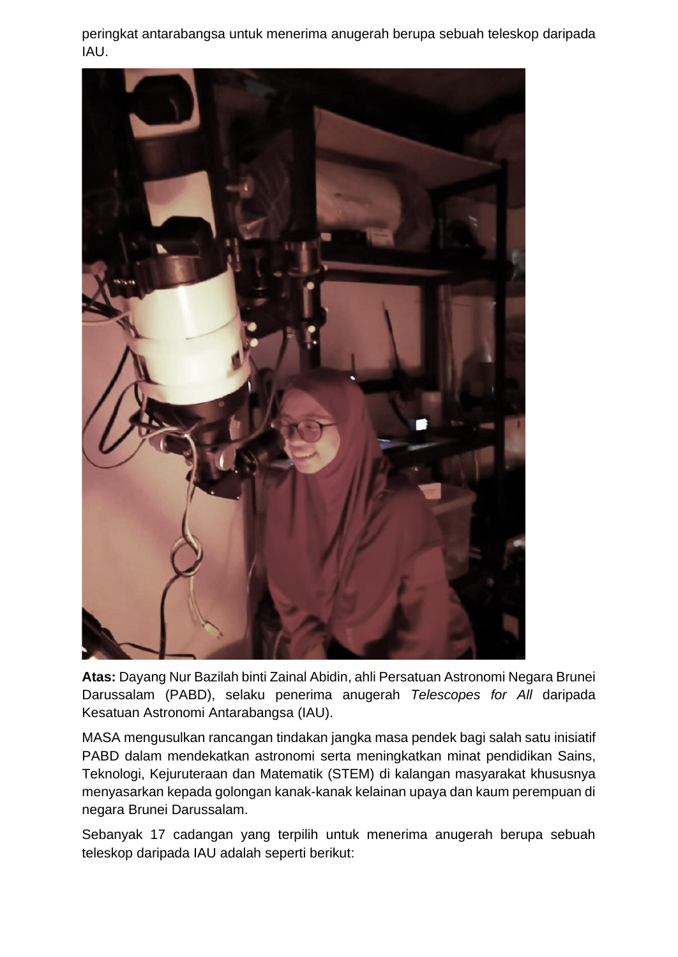peringkat antarabangsa untuk menerima anugerah berupa sebuah teleskop daripada IAU.



**Atas:** Dayang Nur Bazilah binti Zainal Abidin, ahli Persatuan Astronomi Negara Brunei Darussalam (PABD), selaku penerima anugerah *Telescopes for All* daripada Kesatuan Astronomi Antarabangsa (IAU).

MASA mengusulkan rancangan tindakan jangka masa pendek bagi salah satu inisiatif PABD dalam mendekatkan astronomi serta meningkatkan minat pendidikan Sains, Teknologi, Kejuruteraan dan Matematik (STEM) di kalangan masyarakat khususnya menyasarkan kepada golongan kanak-kanak kelainan upaya dan kaum perempuan di negara Brunei Darussalam.

Sebanyak 17 cadangan yang terpilih untuk menerima anugerah berupa sebuah teleskop daripada IAU adalah seperti berikut: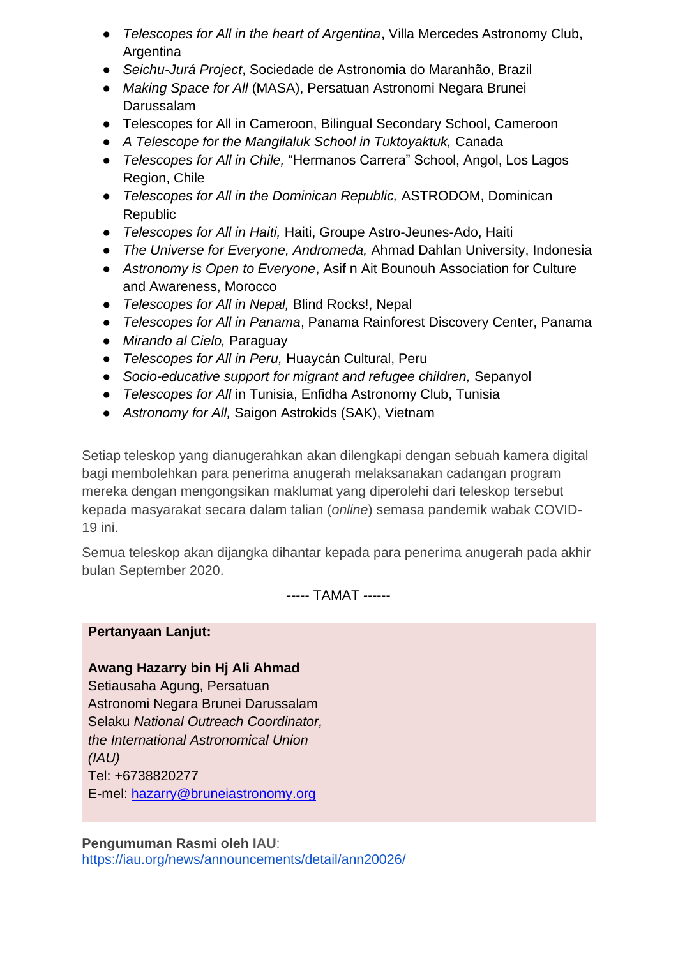- *Telescopes for All in the heart of Argentina*, Villa Mercedes Astronomy Club, **Argentina**
- *Seichu-Jurá Project*, Sociedade de Astronomia do Maranhão, Brazil
- *Making Space for All* (MASA), Persatuan Astronomi Negara Brunei Darussalam
- Telescopes for All in Cameroon, Bilingual Secondary School, Cameroon
- *A Telescope for the Mangilaluk School in Tuktoyaktuk,* Canada
- *Telescopes for All in Chile,* "Hermanos Carrera" School, Angol, Los Lagos Region, Chile
- *Telescopes for All in the Dominican Republic,* ASTRODOM, Dominican Republic
- *Telescopes for All in Haiti,* Haiti, Groupe Astro-Jeunes-Ado, Haiti
- *The Universe for Everyone, Andromeda,* Ahmad Dahlan University, Indonesia
- *Astronomy is Open to Everyone*, Asif n Ait Bounouh Association for Culture and Awareness, Morocco
- *Telescopes for All in Nepal,* Blind Rocks!, Nepal
- *Telescopes for All in Panama*, Panama Rainforest Discovery Center, Panama
- *Mirando al Cielo,* Paraguay
- *Telescopes for All in Peru,* Huaycán Cultural, Peru
- *Socio-educative support for migrant and refugee children,* Sepanyol
- *Telescopes for All* in Tunisia, Enfidha Astronomy Club, Tunisia
- *Astronomy for All,* Saigon Astrokids (SAK), Vietnam

Setiap teleskop yang dianugerahkan akan dilengkapi dengan sebuah kamera digital bagi membolehkan para penerima anugerah melaksanakan cadangan program mereka dengan mengongsikan maklumat yang diperolehi dari teleskop tersebut kepada masyarakat secara dalam talian (*online*) semasa pandemik wabak COVID-19 ini.

Semua teleskop akan dijangka dihantar kepada para penerima anugerah pada akhir bulan September 2020.

----- TAMAT ------

**Pertanyaan Lanjut:**

**Awang Hazarry bin Hj Ali Ahmad** Setiausaha Agung, Persatuan Astronomi Negara Brunei Darussalam Selaku *National Outreach Coordinator, the International Astronomical Union (IAU)* Tel: +6738820277 E-mel: [hazarry@bruneiastronomy.org](mailto:hazarry@bruneiastronomy.org)

**Pengumuman Rasmi oleh IAU**: <https://iau.org/news/announcements/detail/ann20026/>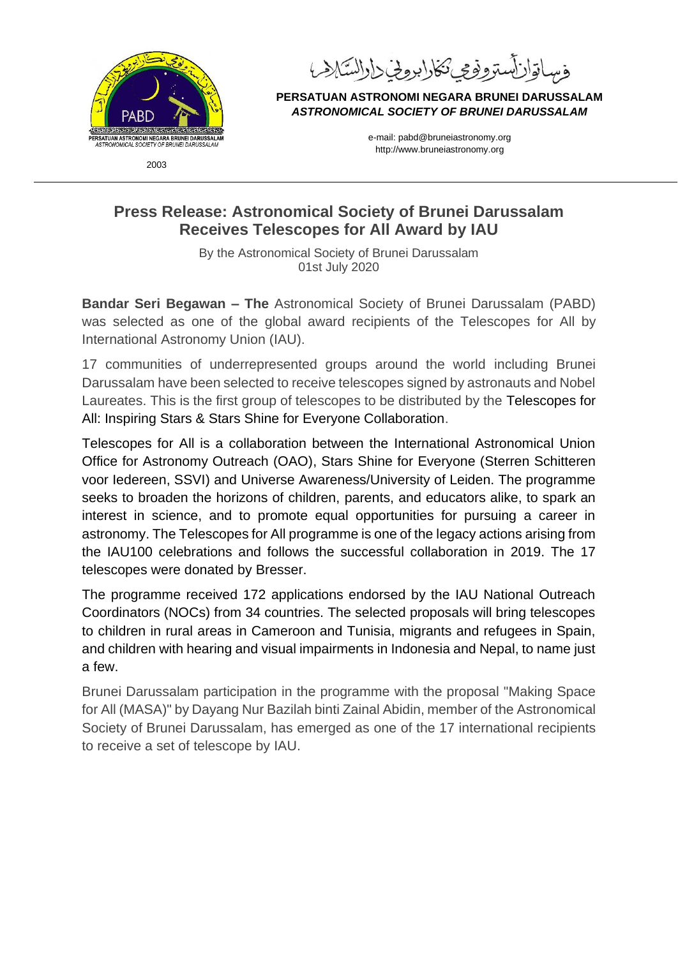

لستوفوعي تكارا بروخي دارالسكه

**PERSATUAN ASTRONOMI NEGARA BRUNEI DARUSSALAM** *ASTRONOMICAL SOCIETY OF BRUNEI DARUSSALAM*

> e-mail: pabd@bruneiastronomy.org http://www.bruneiastronomy.org

## **Press Release: Astronomical Society of Brunei Darussalam Receives Telescopes for All Award by IAU**

By the Astronomical Society of Brunei Darussalam 01st July 2020

**Bandar Seri Begawan – The** Astronomical Society of Brunei Darussalam (PABD) was selected as one of the global award recipients of the Telescopes for All by International Astronomy Union (IAU).

17 communities of underrepresented groups around the world including Brunei Darussalam have been selected to receive telescopes signed by astronauts and Nobel Laureates. This is the first group of telescopes to be distributed by the Telescopes for All: Inspiring Stars & Stars Shine for Everyone Collaboration.

Telescopes for All is a collaboration between the International Astronomical Union Office for Astronomy Outreach (OAO), Stars Shine for Everyone (Sterren Schitteren voor Iedereen, SSVI) and [Universe Awareness/](https://www.unawe.org/)University of Leiden. The programme seeks to broaden the horizons of children, parents, and educators alike, to spark an interest in science, and to promote equal opportunities for pursuing a career in astronomy. The Telescopes for All programme is one of the legacy actions arising from the IAU100 celebrations and follows the successful collaboration in 2019. The 17 telescopes were donated by [Bresser.](https://www.bresser.de/)

The programme received 172 applications endorsed by the IAU National Outreach Coordinators (NOCs) from 34 countries. The selected proposals will bring telescopes to children in rural areas in Cameroon and Tunisia, migrants and refugees in Spain, and children with hearing and visual impairments in Indonesia and Nepal, to name just a few.

Brunei Darussalam participation in the programme with the proposal "Making Space for All (MASA)" by Dayang Nur Bazilah binti Zainal Abidin, member of the Astronomical Society of Brunei Darussalam, has emerged as one of the 17 international recipients to receive a set of telescope by IAU.

2003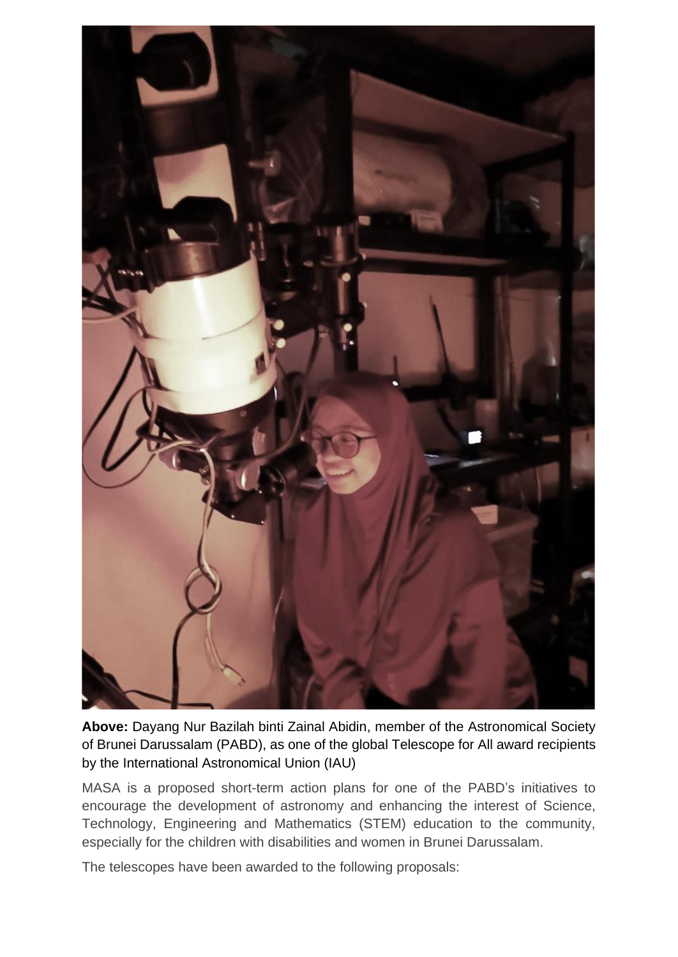

**Above:** Dayang Nur Bazilah binti Zainal Abidin, member of the Astronomical Society of Brunei Darussalam (PABD), as one of the global Telescope for All award recipients by the International Astronomical Union (IAU)

MASA is a proposed short-term action plans for one of the PABD's initiatives to encourage the development of astronomy and enhancing the interest of Science, Technology, Engineering and Mathematics (STEM) education to the community, especially for the children with disabilities and women in Brunei Darussalam.

The telescopes have been awarded to the following proposals: